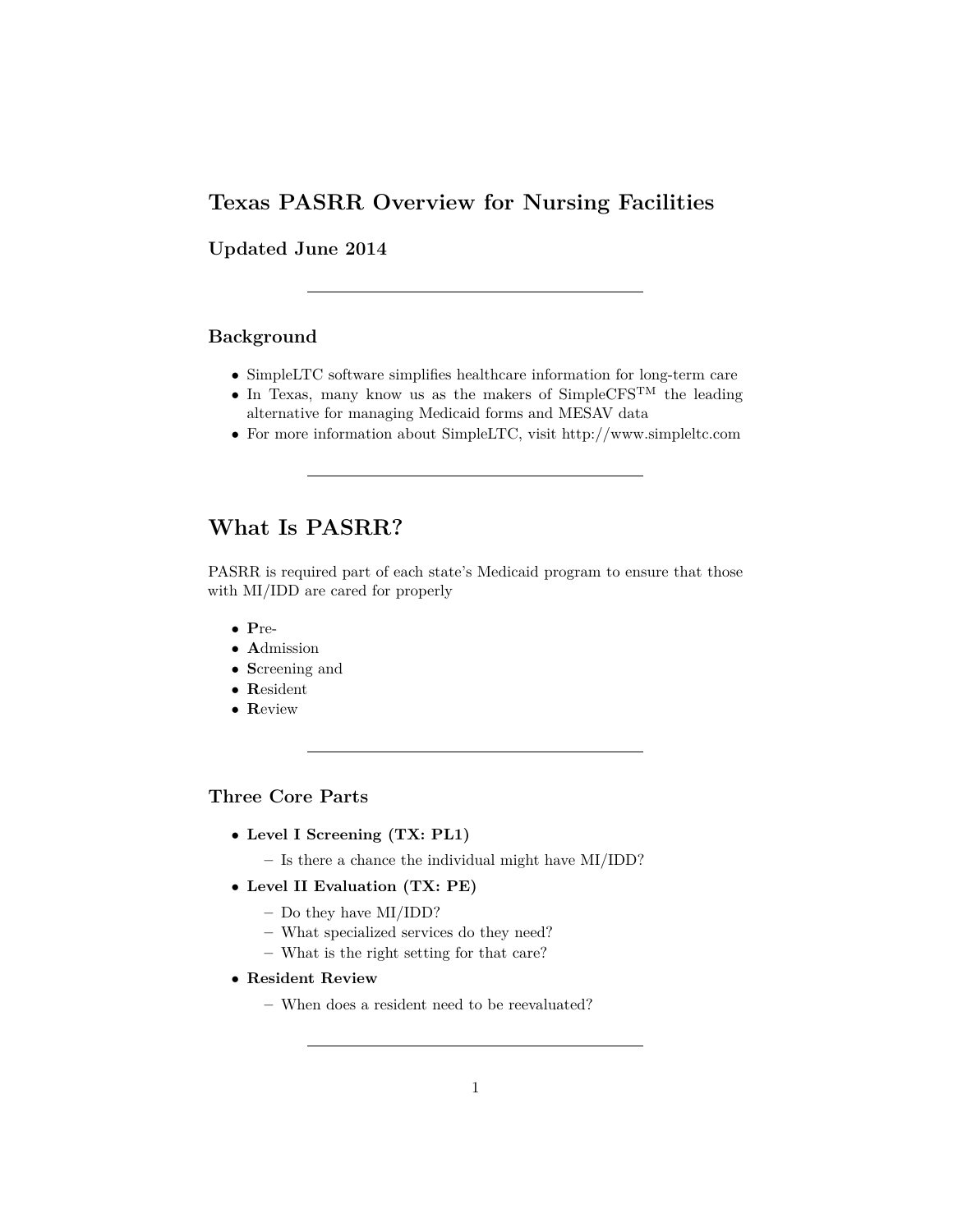# <span id="page-0-0"></span>**Texas PASRR Overview for Nursing Facilities**

**Updated June 2014**

## **Background**

- $\bullet~$  SimpleLTC software simplifies healthcare information for long-term care
- In Texas, many know us as the makers of  $SimpleCFS<sup>TM</sup>$  the leading alternative for managing Medicaid forms and MESAV data
- For more information about SimpleLTC, visit http://www.simpleltc.com

# **What Is PASRR?**

PASRR is required part of each state's Medicaid program to ensure that those with MI/IDD are cared for properly

- **P**re-
- **A**dmission
- **S**creening and
- **R**esident
- **R**eview

# **Three Core Parts**

- **Level I Screening (TX: PL1)**
	- **–** Is there a chance the individual might have MI/IDD?
- **Level II Evaluation (TX: PE)**
	- **–** Do they have MI/IDD?
	- **–** What specialized services do they need?
	- **–** What is the right setting for that care?
- **Resident Review**
	- **–** When does a resident need to be reevaluated?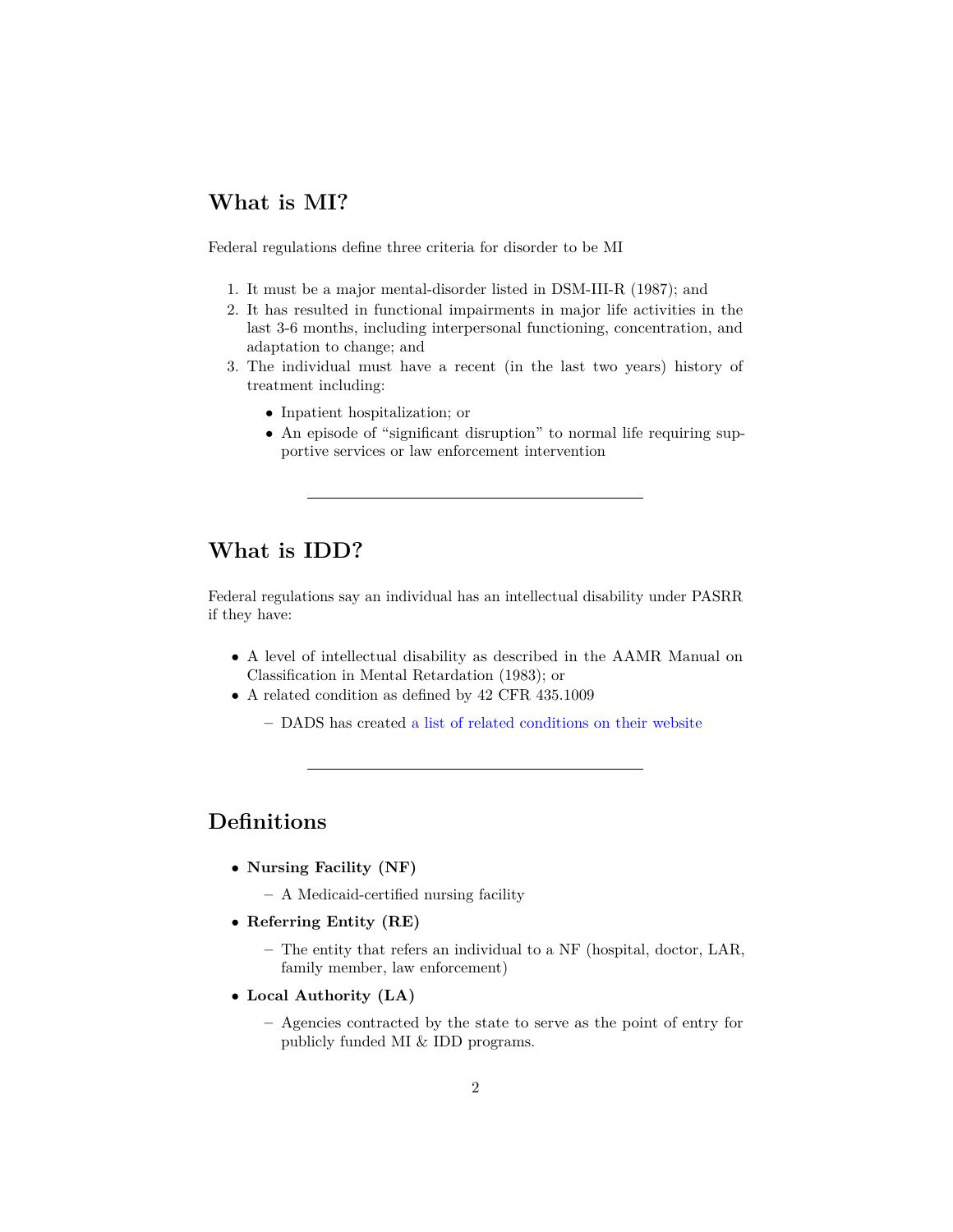# **What is MI?**

Federal regulations define three criteria for disorder to be MI

- 1. It must be a major mental-disorder listed in DSM-III-R (1987); and
- 2. It has resulted in functional impairments in major life activities in the last 3-6 months, including interpersonal functioning, concentration, and adaptation to change; and
- 3. The individual must have a recent (in the last two years) history of treatment including:
	- Inpatient hospitalization; or
	- An episode of "significant disruption" to normal life requiring supportive services or law enforcement intervention

# **What is IDD?**

Federal regulations say an individual has an intellectual disability under PASRR if they have:

- A level of intellectual disability as described in the AAMR Manual on Classification in Mental Retardation (1983); or
- A related condition as defined by 42 CFR 435.1009
	- **–** DADS has created [a list of related conditions on their website](http://www.dads.state.tx.us/providers/guidelines/ICD-9-CM_Diagnostic_Codes.pdf)

# **Definitions**

- **Nursing Facility (NF)**
	- **–** A Medicaid-certified nursing facility
- **Referring Entity (RE)**
	- **–** The entity that refers an individual to a NF (hospital, doctor, LAR, family member, law enforcement)
- **Local Authority (LA)**
	- **–** Agencies contracted by the state to serve as the point of entry for publicly funded MI & IDD programs.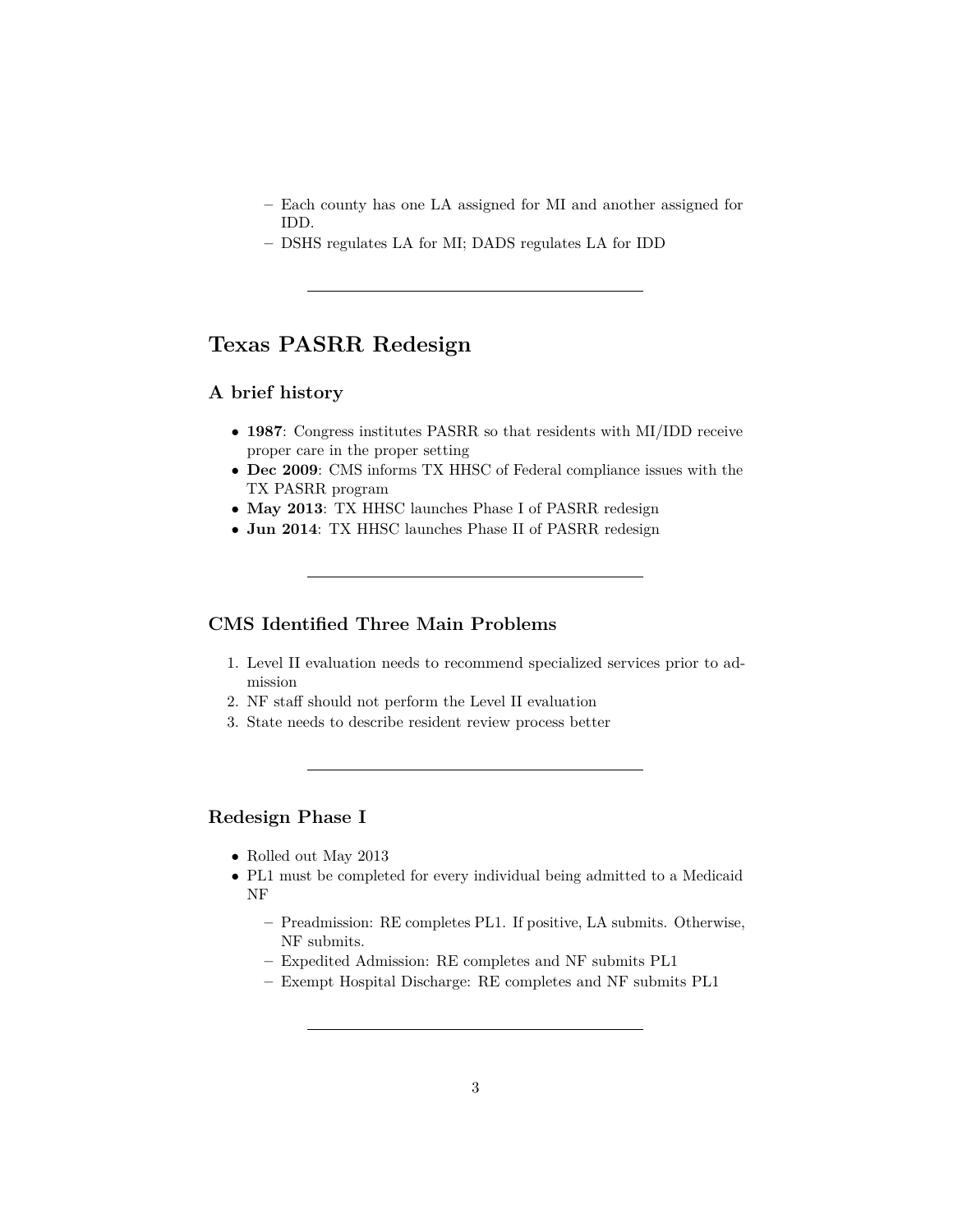- **–** Each county has one LA assigned for MI and another assigned for IDD.
- **–** DSHS regulates LA for MI; DADS regulates LA for IDD

# **Texas PASRR Redesign**

#### **A brief history**

- **1987**: Congress institutes PASRR so that residents with MI/IDD receive proper care in the proper setting
- **Dec 2009**: CMS informs TX HHSC of Federal compliance issues with the TX PASRR program
- **May 2013**: TX HHSC launches Phase I of PASRR redesign
- **Jun 2014**: TX HHSC launches Phase II of PASRR redesign

## **CMS Identified Three Main Problems**

- 1. Level II evaluation needs to recommend specialized services prior to admission
- 2. NF staff should not perform the Level II evaluation
- 3. State needs to describe resident review process better

#### **Redesign Phase I**

- Rolled out May 2013
- PL1 must be completed for every individual being admitted to a Medicaid NF
	- **–** Preadmission: RE completes PL1. If positive, LA submits. Otherwise, NF submits.
	- **–** Expedited Admission: RE completes and NF submits PL1
	- **–** Exempt Hospital Discharge: RE completes and NF submits PL1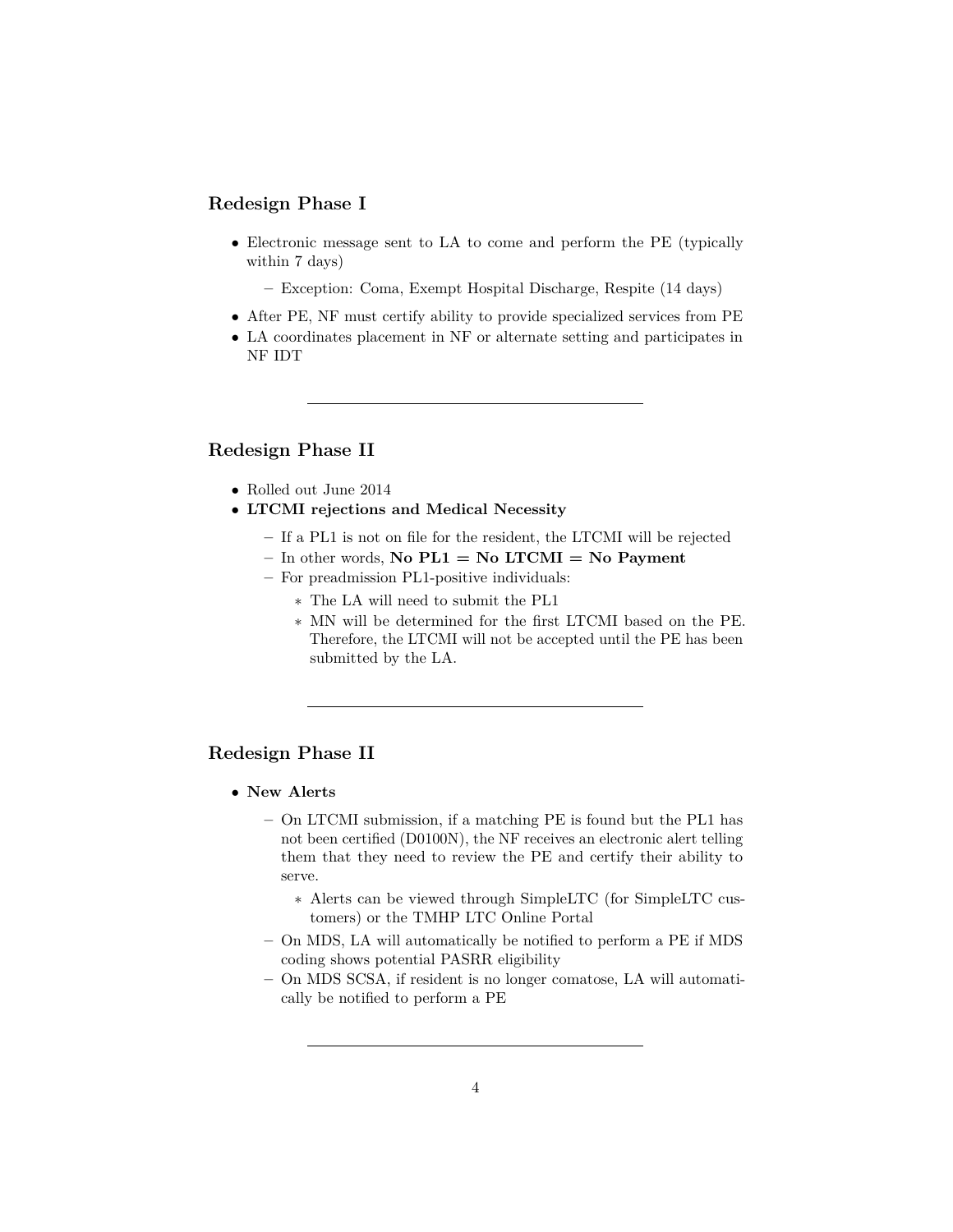## **Redesign Phase I**

• Electronic message sent to LA to come and perform the PE (typically within 7 days)

**–** Exception: Coma, Exempt Hospital Discharge, Respite (14 days)

- After PE, NF must certify ability to provide specialized services from PE
- LA coordinates placement in NF or alternate setting and participates in NF IDT

### **Redesign Phase II**

- Rolled out June 2014
- **LTCMI rejections and Medical Necessity**
	- **–** If a PL1 is not on file for the resident, the LTCMI will be rejected
	- **–** In other words, **No PL1 = No LTCMI = No Payment**
	- **–** For preadmission PL1-positive individuals:
		- ∗ The LA will need to submit the PL1
		- ∗ MN will be determined for the first LTCMI based on the PE. Therefore, the LTCMI will not be accepted until the PE has been submitted by the LA.

## **Redesign Phase II**

- **New Alerts**
	- **–** On LTCMI submission, if a matching PE is found but the PL1 has not been certified (D0100N), the NF receives an electronic alert telling them that they need to review the PE and certify their ability to serve.
		- ∗ Alerts can be viewed through SimpleLTC (for SimpleLTC customers) or the TMHP LTC Online Portal
	- **–** On MDS, LA will automatically be notified to perform a PE if MDS coding shows potential PASRR eligibility
	- **–** On MDS SCSA, if resident is no longer comatose, LA will automatically be notified to perform a PE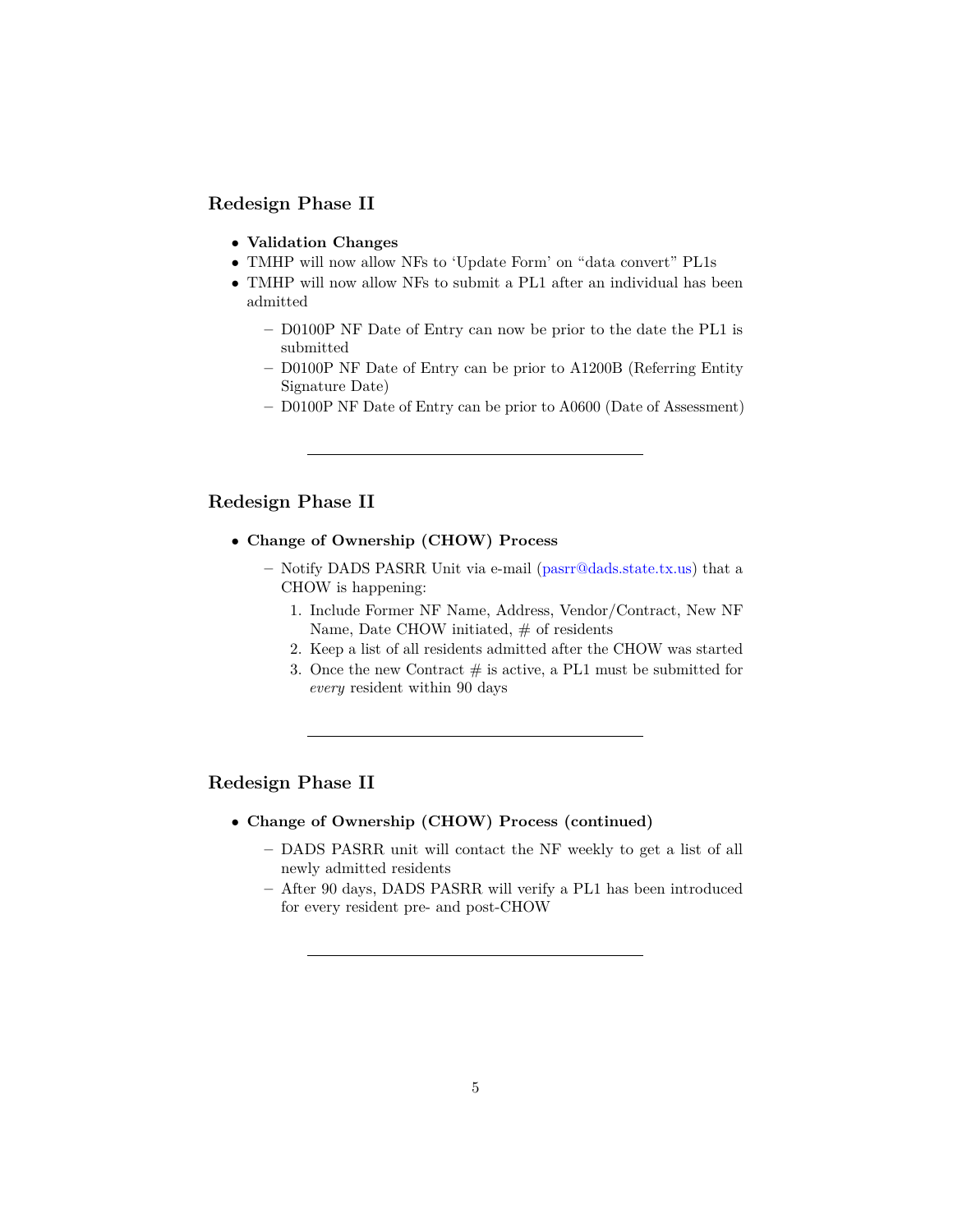# **Redesign Phase II**

- **Validation Changes**
- TMHP will now allow NFs to 'Update Form' on "data convert" PL1s
- TMHP will now allow NFs to submit a PL1 after an individual has been admitted
	- **–** D0100P NF Date of Entry can now be prior to the date the PL1 is submitted
	- **–** D0100P NF Date of Entry can be prior to A1200B (Referring Entity Signature Date)
	- **–** D0100P NF Date of Entry can be prior to A0600 (Date of Assessment)

#### **Redesign Phase II**

- **Change of Ownership (CHOW) Process**
	- **–** Notify DADS PASRR Unit via e-mail [\(pasrr@dads.state.tx.us\)](mailto:pasrr@dads.state.tx.us) that a CHOW is happening:
		- 1. Include Former NF Name, Address, Vendor/Contract, New NF Name, Date CHOW initiated,  $#$  of residents
		- 2. Keep a list of all residents admitted after the CHOW was started
		- 3. Once the new Contract  $\#$  is active, a PL1 must be submitted for *every* resident within 90 days

#### **Redesign Phase II**

- **Change of Ownership (CHOW) Process (continued)**
	- **–** DADS PASRR unit will contact the NF weekly to get a list of all newly admitted residents
	- **–** After 90 days, DADS PASRR will verify a PL1 has been introduced for every resident pre- and post-CHOW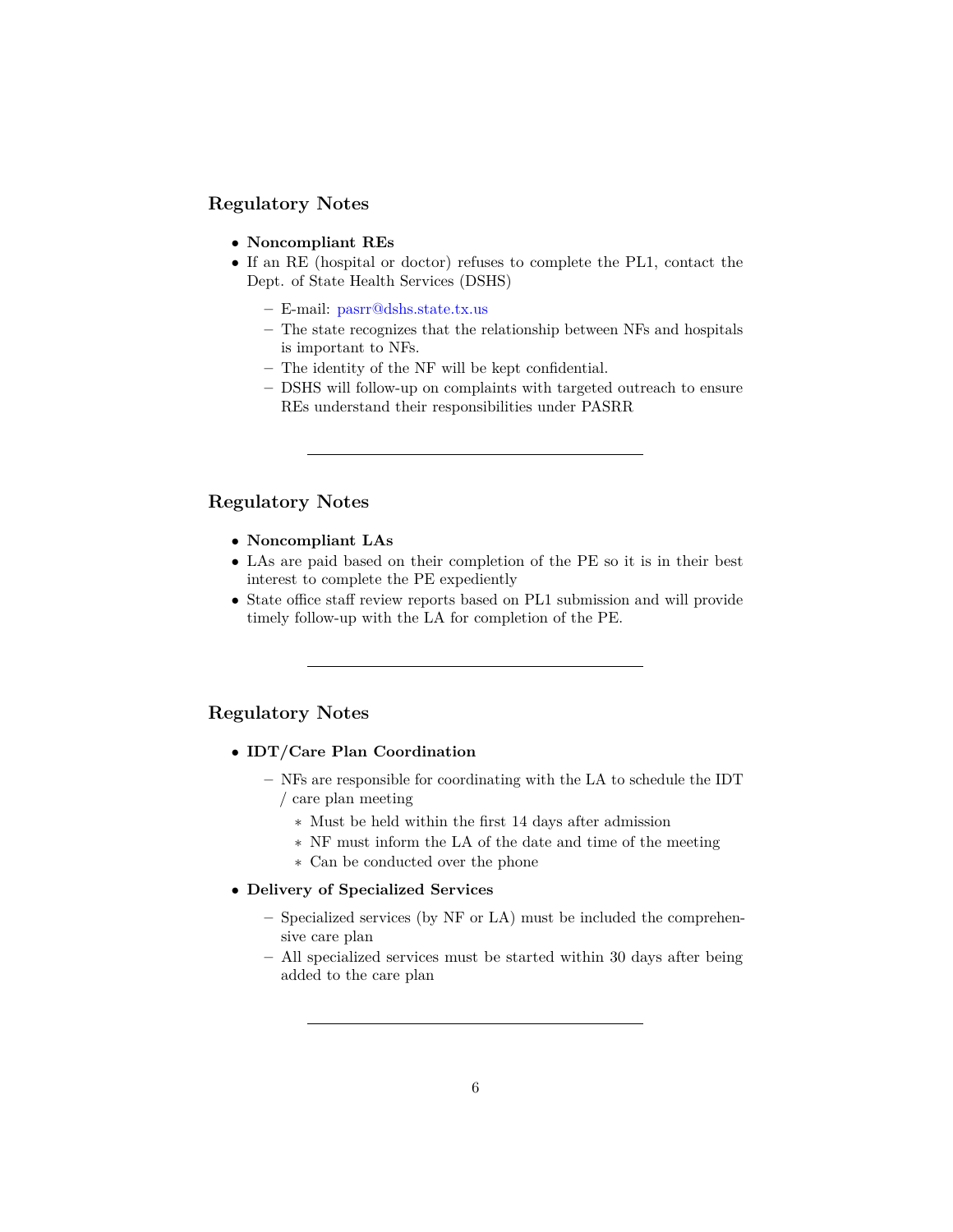# **Regulatory Notes**

- **Noncompliant REs**
- If an RE (hospital or doctor) refuses to complete the PL1, contact the Dept. of State Health Services (DSHS)
	- **–** E-mail: <pasrr@dshs.state.tx.us>
	- **–** The state recognizes that the relationship between NFs and hospitals is important to NFs.
	- **–** The identity of the NF will be kept confidential.
	- **–** DSHS will follow-up on complaints with targeted outreach to ensure REs understand their responsibilities under PASRR

#### **Regulatory Notes**

- **Noncompliant LAs**
- LAs are paid based on their completion of the PE so it is in their best interest to complete the PE expediently
- State office staff review reports based on PL1 submission and will provide timely follow-up with the LA for completion of the PE.

## **Regulatory Notes**

- **IDT/Care Plan Coordination**
	- **–** NFs are responsible for coordinating with the LA to schedule the IDT / care plan meeting
		- ∗ Must be held within the first 14 days after admission
		- ∗ NF must inform the LA of the date and time of the meeting
		- ∗ Can be conducted over the phone

#### • **Delivery of Specialized Services**

- **–** Specialized services (by NF or LA) must be included the comprehensive care plan
- **–** All specialized services must be started within 30 days after being added to the care plan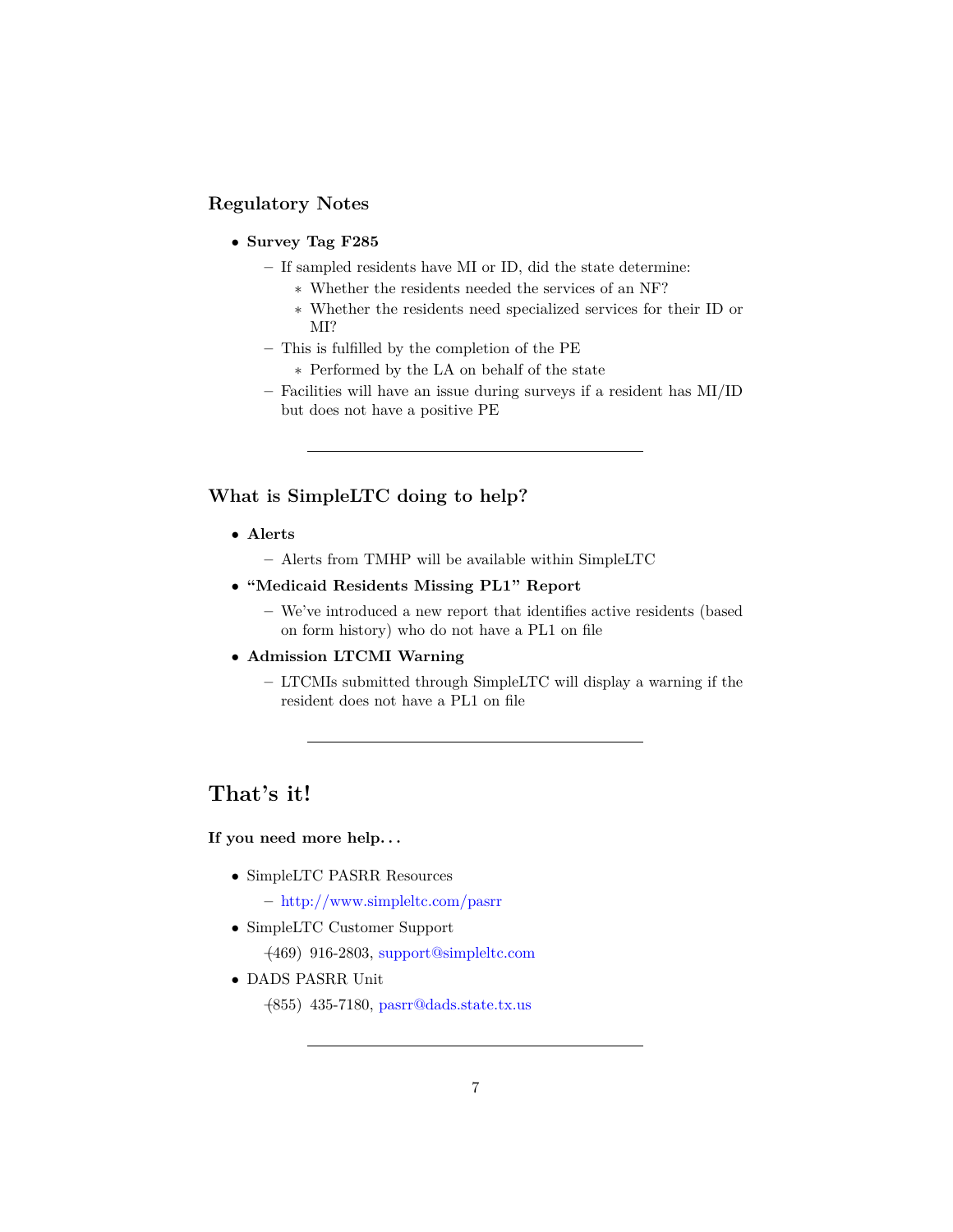# **Regulatory Notes**

## • **Survey Tag F285**

- **–** If sampled residents have MI or ID, did the state determine:
	- ∗ Whether the residents needed the services of an NF?
	- ∗ Whether the residents need specialized services for their ID or MI?
- **–** This is fulfilled by the completion of the PE
	- ∗ Performed by the LA on behalf of the state
- **–** Facilities will have an issue during surveys if a resident has MI/ID but does not have a positive PE

## **What is SimpleLTC doing to help?**

- **Alerts**
	- **–** Alerts from TMHP will be available within SimpleLTC
- **"Medicaid Residents Missing PL1" Report**
	- **–** We've introduced a new report that identifies active residents (based on form history) who do not have a PL1 on file
- **Admission LTCMI Warning**
	- **–** LTCMIs submitted through SimpleLTC will display a warning if the resident does not have a PL1 on file

# **That's it!**

## **If you need more help. . .**

- SimpleLTC PASRR Resources
	- **–** <http://www.simpleltc.com/pasrr>
- SimpleLTC Customer Support

**–**(469) 916-2803, [support@simpleltc.com](mailto:support@simpleltc.com)

- DADS PASRR Unit
	- **–**(855) 435-7180, [pasrr@dads.state.tx.us](mailto:pasrr@dads.state.tx.us)